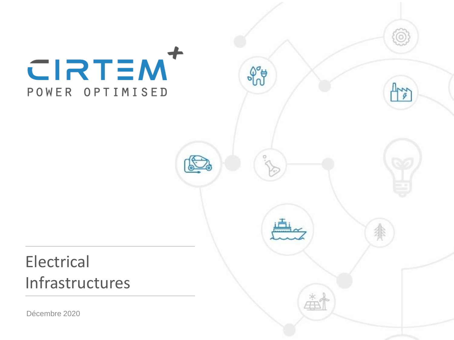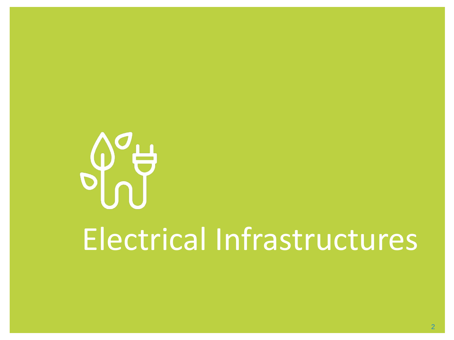# Electrical Infrastructures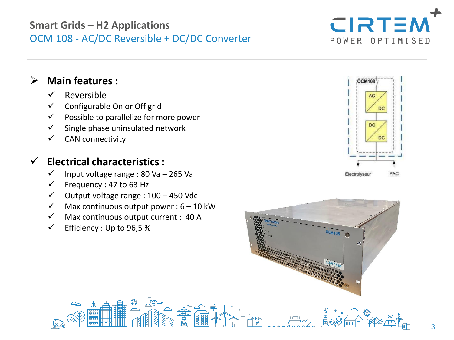#### **Smart Grids – H2 Applications** OCM 108 - AC/DC Reversible + DC/DC Converter

# ➢ **Main features :**

- $\checkmark$  Reversible
- Configurable On or Off grid
- $\checkmark$  Possible to parallelize for more power
- $\checkmark$  Single phase uninsulated network
- $\checkmark$  CAN connectivity

# ✓ **Electrical characteristics :**

- $\checkmark$  Input voltage range : 80 Va 265 Va
- $\checkmark$  Frequency : 47 to 63 Hz
- $\checkmark$  Output voltage range : 100 450 Vdc
- $\checkmark$  Max continuous output power :  $6 10$  kW
- $\checkmark$  Max continuous output current : 40 A
- ✓ Efficiency : Up to 96,5 %





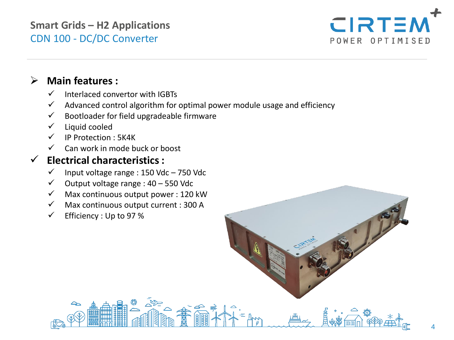## **Smart Grids – H2 Applications** CDN 100 - DC/DC Converter



### ➢ **Main features :**

- ✓ Interlaced convertor with IGBTs
- $\checkmark$  Advanced control algorithm for optimal power module usage and efficiency
- $\checkmark$  Bootloader for field upgradeable firmware
- $\checkmark$  Liquid cooled
- ✓ IP Protection : 5K4K
- $\checkmark$  Can work in mode buck or boost

#### ✓ **Electrical characteristics :**

- $\checkmark$  Input voltage range : 150 Vdc 750 Vdc
- $\checkmark$  Output voltage range : 40 550 Vdc
- $\checkmark$  Max continuous output power : 120 kW
- $\checkmark$  Max continuous output current : 300 A
- $\checkmark$  Efficiency : Up to 97 %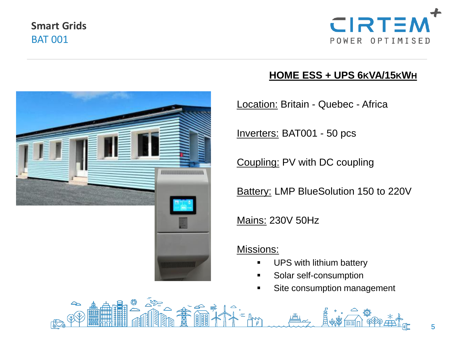#### **Smart Grids** BAT 001



#### **HOME ESS + UPS 6KVA/15KWH**

Location: Britain - Quebec - Africa

Inverters: BAT001 - 50 pcs

Coupling: PV with DC coupling

**Battery: LMP BlueSolution 150 to 220V** 

Mains: 230V 50Hz

Missions:

- **■** UPS with lithium battery
- Solar self-consumption
- **EXE** Site consumption management



5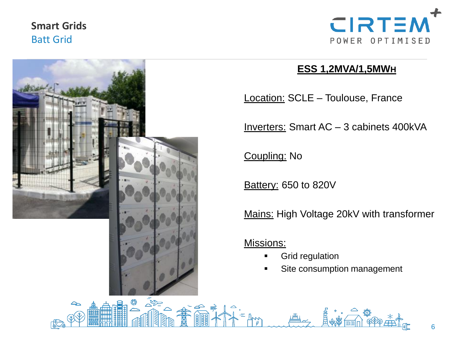#### **Smart Grids** Batt Grid



#### **ESS 1,2MVA/1,5MWH**

Location: SCLE – Toulouse, France

Inverters: Smart AC – 3 cabinets 400kVA

Coupling: No

**Battery: 650 to 820V** 

Mains: High Voltage 20kV with transformer

Missions:

 $\frac{1}{\sqrt{2}}\sum_{n=1}^{\infty}$ 

- **Grid regulation**
- Site consumption management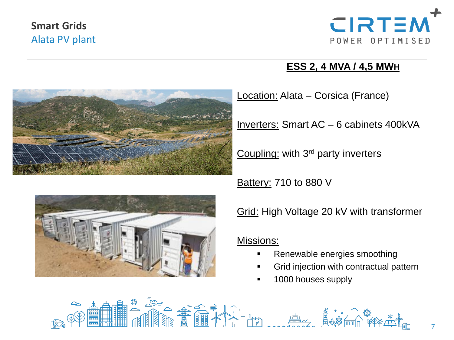# **Smart Grids** Alata PV plant



#### **ESS 2, 4 MVA / 4,5 MWH**



Location: Alata – Corsica (France)

Inverters: Smart AC – 6 cabinets 400kVA

Coupling: with 3<sup>rd</sup> party inverters

Battery: 710 to 880 V



Grid: High Voltage 20 kV with transformer

#### Missions:

- Renewable energies smoothing
- Grid injection with contractual pattern
- 1000 houses supply

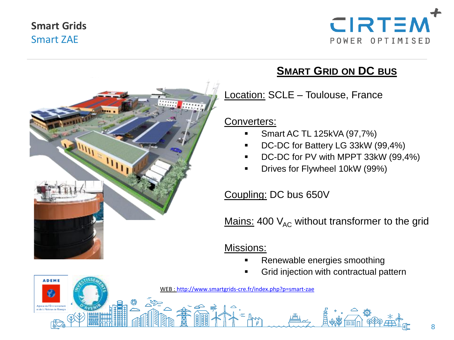#### **Smart Grids** Smart ZAE



# **SMART GRID ON DC BUS**

Location: SCLE - Toulouse, France

Converters:

- Smart AC TL 125kVA (97,7%)
- DC-DC for Battery LG 33kW (99,4%)
- DC-DC for PV with MPPT 33kW (99,4%)
- **•** Drives for Flywheel 10kW (99%)

Coupling: DC bus 650V

Mains: 400  $V_{AC}$  without transformer to the grid

Missions:

- Renewable energies smoothing
- Grid injection with contractual pattern

WEB :<http://www.smartgrids-cre.fr/index.php?p=smart-zae>



**ADEME** 

**ANTIST** 

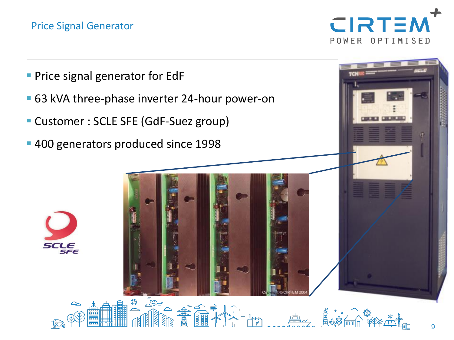#### Price Signal Generator